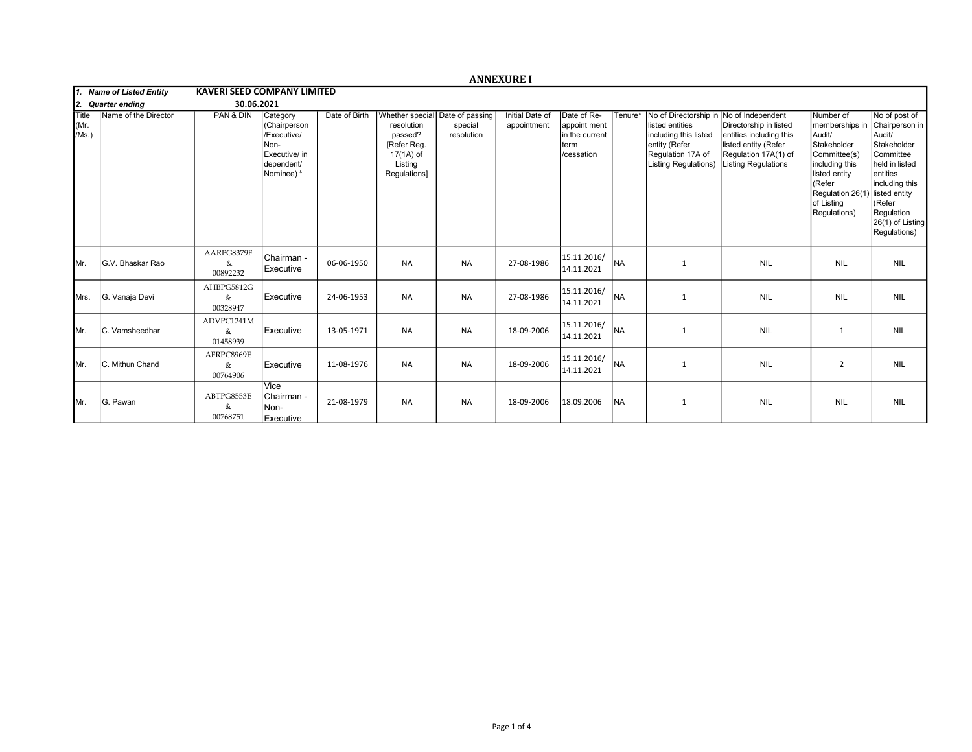|                              |                          |                                    |                                                                                              |               |                                                                                                                 |                       | <b>ANNEXURE I</b>              |                                                                     |           |                                                                                                                                        |                                                                                                                                                      |                                                                                                                                                                     |                                                                                                                                                                                                      |
|------------------------------|--------------------------|------------------------------------|----------------------------------------------------------------------------------------------|---------------|-----------------------------------------------------------------------------------------------------------------|-----------------------|--------------------------------|---------------------------------------------------------------------|-----------|----------------------------------------------------------------------------------------------------------------------------------------|------------------------------------------------------------------------------------------------------------------------------------------------------|---------------------------------------------------------------------------------------------------------------------------------------------------------------------|------------------------------------------------------------------------------------------------------------------------------------------------------------------------------------------------------|
|                              | 1. Name of Listed Entity | <b>KAVERI SEED COMPANY LIMITED</b> |                                                                                              |               |                                                                                                                 |                       |                                |                                                                     |           |                                                                                                                                        |                                                                                                                                                      |                                                                                                                                                                     |                                                                                                                                                                                                      |
| 12.                          | <b>Quarter ending</b>    | 30.06.2021                         |                                                                                              |               |                                                                                                                 |                       |                                |                                                                     |           |                                                                                                                                        |                                                                                                                                                      |                                                                                                                                                                     |                                                                                                                                                                                                      |
| <b>Title</b><br>Mr.<br>/Ms.) | Name of the Director     | PAN & DIN                          | Category<br>(Chairperson<br>/Executive/<br>Non-<br>Executive/ in<br>dependent/<br>Nominee) & | Date of Birth | Whether special Date of passing<br>resolution<br>passed?<br>[Refer Reg.<br>17(1A) of<br>Listing<br>Regulations] | special<br>resolution | Initial Date of<br>appointment | Date of Re-<br>appoint ment<br>in the current<br>term<br>/cessation | Tenure*   | No of Directorship in<br>listed entities<br>including this listed<br>entity (Refer<br>Regulation 17A of<br><b>Listing Regulations)</b> | No of Independent<br>Directorship in listed<br>entities including this<br>listed entity (Refer<br>Regulation 17A(1) of<br><b>Listing Regulations</b> | Number of<br>memberships in<br>Audit/<br>Stakeholder<br>Committee(s)<br>including this<br>listed entity<br>(Refer<br>Regulation 26(1)<br>of Listing<br>Regulations) | No of post of<br>Chairperson in<br>Audit/<br>Stakeholder<br>Committee<br>held in listed<br>entities<br>including this<br>) listed entity<br>KRefer<br>Regulation<br>26(1) of Listing<br>Regulations) |
| IMr.                         | G.V. Bhaskar Rao         | AARPG8379F<br>&<br>00892232        | Chairman -<br>Executive                                                                      | 06-06-1950    | <b>NA</b>                                                                                                       | NA                    | 27-08-1986                     | 15.11.2016/<br>14.11.2021                                           | <b>NA</b> | 1                                                                                                                                      | <b>NIL</b>                                                                                                                                           | <b>NIL</b>                                                                                                                                                          | <b>NIL</b>                                                                                                                                                                                           |
| <b>I</b> Mrs.                | G. Vanaja Devi           | AHBPG5812G<br>&<br>00328947        | Executive                                                                                    | 24-06-1953    | <b>NA</b>                                                                                                       | NA                    | 27-08-1986                     | 15.11.2016/<br>14.11.2021                                           | <b>NA</b> | $\mathbf{1}$                                                                                                                           | <b>NIL</b>                                                                                                                                           | <b>NIL</b>                                                                                                                                                          | <b>NIL</b>                                                                                                                                                                                           |
| IMr.                         | C. Vamsheedhar           | ADVPC1241M<br>&<br>01458939        | Executive                                                                                    | 13-05-1971    | <b>NA</b>                                                                                                       | <b>NA</b>             | 18-09-2006                     | 15.11.2016/<br>14.11.2021                                           | <b>NA</b> | 1                                                                                                                                      | <b>NIL</b>                                                                                                                                           | 1                                                                                                                                                                   | <b>NIL</b>                                                                                                                                                                                           |
| IMr.                         | C. Mithun Chand          | AFRPC8969E<br>&<br>00764906        | Executive                                                                                    | 11-08-1976    | <b>NA</b>                                                                                                       | NA                    | 18-09-2006                     | 15.11.2016/<br>14.11.2021                                           | NA)       | 1                                                                                                                                      | <b>NIL</b>                                                                                                                                           | $\overline{2}$                                                                                                                                                      | <b>NIL</b>                                                                                                                                                                                           |
| IMr.                         | G. Pawan                 | ABTPG8553E<br>&<br>00768751        | Vice<br>Chairman -<br>Non-<br>Executive                                                      | 21-08-1979    | <b>NA</b>                                                                                                       | <b>NA</b>             | 18-09-2006                     | 18.09.2006                                                          | <b>NA</b> | 1                                                                                                                                      | <b>NIL</b>                                                                                                                                           | <b>NIL</b>                                                                                                                                                          | <b>NIL</b>                                                                                                                                                                                           |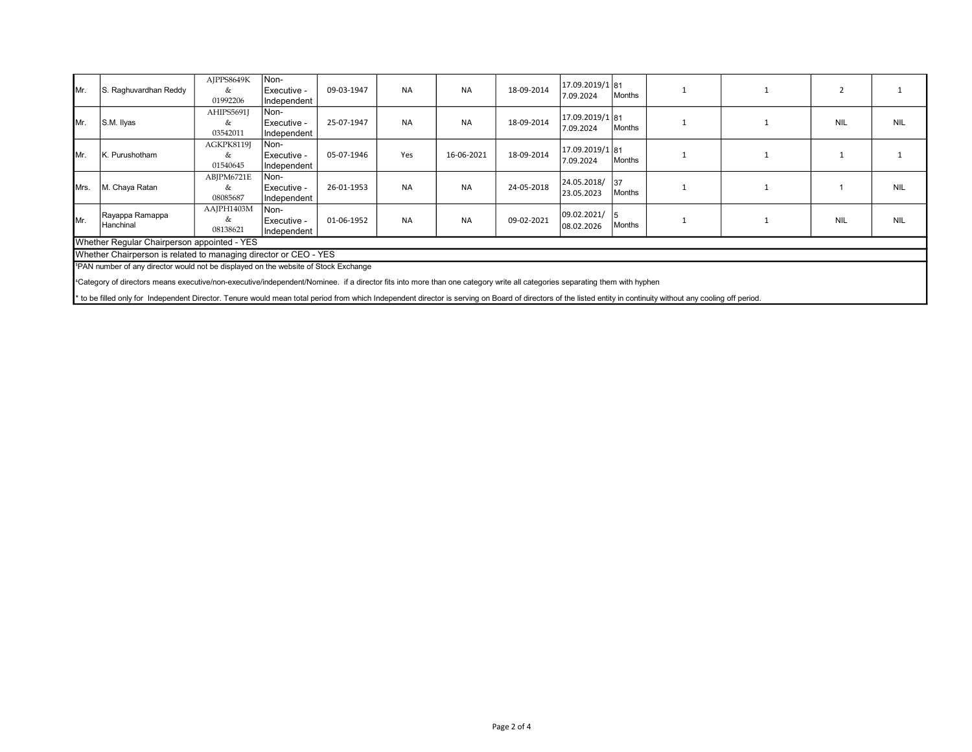| IMr.                                                                                                                                                                                  | S. Raghuvardhan Reddy                                                                                                                                                                                            | AJPPS8649K<br>& | Non-<br>Executive - | 09-03-1947 | <b>NA</b> | <b>NA</b>  | 18-09-2014 | 17.09.2019/1 81              |               |  |            |            |
|---------------------------------------------------------------------------------------------------------------------------------------------------------------------------------------|------------------------------------------------------------------------------------------------------------------------------------------------------------------------------------------------------------------|-----------------|---------------------|------------|-----------|------------|------------|------------------------------|---------------|--|------------|------------|
|                                                                                                                                                                                       |                                                                                                                                                                                                                  | 01992206        | Independent         |            |           |            |            | 7.09.2024                    | Months        |  |            |            |
| IMr.                                                                                                                                                                                  | S.M. Ilyas                                                                                                                                                                                                       | AHIPS5691J      | Non-                |            |           | <b>NA</b>  | 18-09-2014 | 17.09.2019/1 81<br>7.09.2024 | Months        |  | <b>NIL</b> | <b>NIL</b> |
|                                                                                                                                                                                       |                                                                                                                                                                                                                  | &               | Executive -         | 25-07-1947 | <b>NA</b> |            |            |                              |               |  |            |            |
|                                                                                                                                                                                       |                                                                                                                                                                                                                  | 03542011        | Independent         |            |           |            |            |                              |               |  |            |            |
|                                                                                                                                                                                       |                                                                                                                                                                                                                  | AGKPK8119J      | Non-                | 05-07-1946 | Yes       | 16-06-2021 | 18-09-2014 | 17.09.2019/1 81<br>7.09.2024 | Months        |  |            |            |
| IMr.                                                                                                                                                                                  | K. Purushotham                                                                                                                                                                                                   | &               | Executive -         |            |           |            |            |                              |               |  |            |            |
|                                                                                                                                                                                       |                                                                                                                                                                                                                  | 01540645        | Independent         |            |           |            |            |                              |               |  |            |            |
| IMrs.                                                                                                                                                                                 | M. Chaya Ratan                                                                                                                                                                                                   | ABJPM6721E      | Non-                | 26-01-1953 | <b>NA</b> | <b>NA</b>  | 24-05-2018 | 24.05.2018/<br>23.05.2023    | 137<br>Months |  |            | <b>NIL</b> |
|                                                                                                                                                                                       |                                                                                                                                                                                                                  | &               | Executive -         |            |           |            |            |                              |               |  |            |            |
|                                                                                                                                                                                       |                                                                                                                                                                                                                  | 08085687        | Independent         |            |           |            |            |                              |               |  |            |            |
|                                                                                                                                                                                       | Rayappa Ramappa<br>Hanchinal                                                                                                                                                                                     | AAJPH1403M      | Non-                | 01-06-1952 | <b>NA</b> | <b>NA</b>  | 09-02-2021 | 09.02.2021/<br>08.02.2026    | Months        |  | <b>NIL</b> | <b>NIL</b> |
| Mr.                                                                                                                                                                                   |                                                                                                                                                                                                                  | &               | Executive -         |            |           |            |            |                              |               |  |            |            |
|                                                                                                                                                                                       |                                                                                                                                                                                                                  | 08138621        | Independent         |            |           |            |            |                              |               |  |            |            |
| Whether Regular Chairperson appointed - YES                                                                                                                                           |                                                                                                                                                                                                                  |                 |                     |            |           |            |            |                              |               |  |            |            |
| Whether Chairperson is related to managing director or CEO - YES                                                                                                                      |                                                                                                                                                                                                                  |                 |                     |            |           |            |            |                              |               |  |            |            |
| <sup>5</sup> PAN number of any director would not be displayed on the website of Stock Exchange                                                                                       |                                                                                                                                                                                                                  |                 |                     |            |           |            |            |                              |               |  |            |            |
| <sup>a</sup> Category of directors means executive/non-executive/independent/Nominee. if a director fits into more than one category write all categories separating them with hyphen |                                                                                                                                                                                                                  |                 |                     |            |           |            |            |                              |               |  |            |            |
|                                                                                                                                                                                       | * to be filled only for Independent Director. Tenure would mean total period from which Independent director is serving on Board of directors of the listed entity in continuity without any cooling off period. |                 |                     |            |           |            |            |                              |               |  |            |            |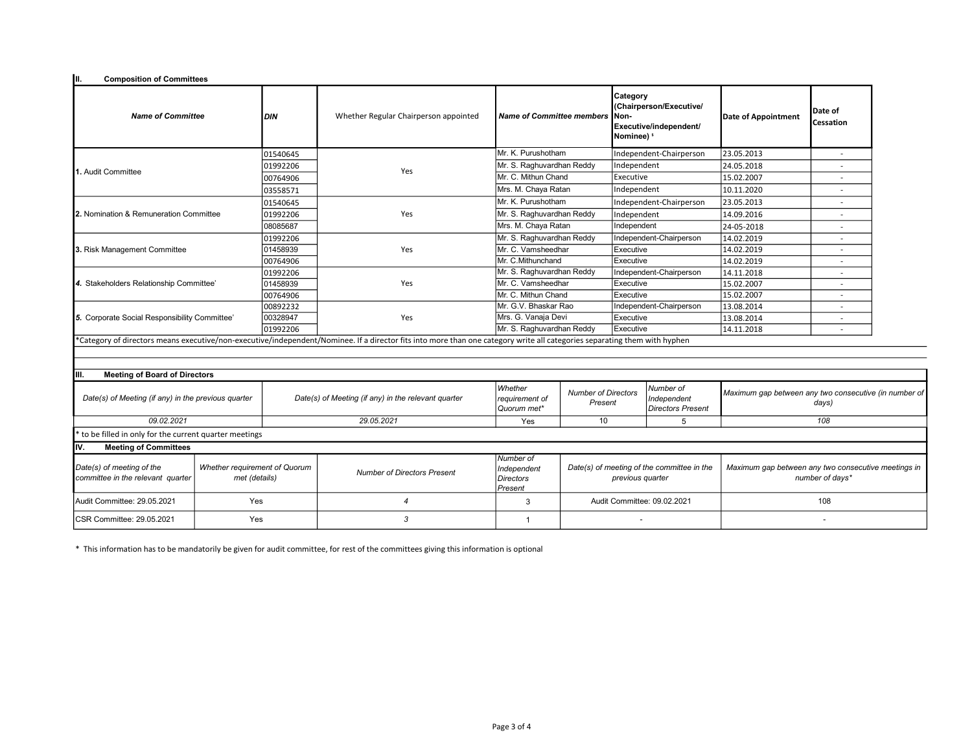| Iш.<br><b>Composition of Committees</b>                                                                                                                                   |     |                                    |                                                     |                                                         |                                                                |                                                                                                 |                                                      |                                                                        |                              |  |
|---------------------------------------------------------------------------------------------------------------------------------------------------------------------------|-----|------------------------------------|-----------------------------------------------------|---------------------------------------------------------|----------------------------------------------------------------|-------------------------------------------------------------------------------------------------|------------------------------------------------------|------------------------------------------------------------------------|------------------------------|--|
| <b>Name of Committee</b>                                                                                                                                                  |     | <b>DIN</b>                         | Whether Regular Chairperson appointed               | <b>Name of Committee members</b>                        |                                                                | Category<br>(Chairperson/Executive/<br>Non-<br>Executive/independent/<br>Nominee) <sup>\$</sup> |                                                      | Date of Appointment                                                    | lDate of<br><b>Cessation</b> |  |
|                                                                                                                                                                           |     | 01540645                           |                                                     | Mr. K. Purushotham                                      |                                                                |                                                                                                 | Independent-Chairperson                              | 23.05.2013                                                             | $\overline{\phantom{a}}$     |  |
|                                                                                                                                                                           |     | 01992206                           |                                                     |                                                         | Mr. S. Raghuvardhan Reddy                                      |                                                                                                 | Independent                                          | 24.05.2018                                                             |                              |  |
| 1. Audit Committee                                                                                                                                                        |     | 00764906                           | Yes                                                 | Mr. C. Mithun Chand                                     |                                                                | Executive                                                                                       |                                                      | 15.02.2007                                                             |                              |  |
|                                                                                                                                                                           |     | 03558571                           |                                                     | Mrs. M. Chaya Ratan                                     |                                                                | Independent                                                                                     |                                                      | 10.11.2020                                                             |                              |  |
|                                                                                                                                                                           |     | 01540645                           |                                                     | Mr. K. Purushotham                                      |                                                                |                                                                                                 | Independent-Chairperson                              | 23.05.2013                                                             |                              |  |
| 2. Nomination & Remuneration Committee                                                                                                                                    |     | 01992206                           | Yes                                                 | Mr. S. Raghuvardhan Reddy                               |                                                                | Independent                                                                                     |                                                      | 14.09.2016                                                             |                              |  |
|                                                                                                                                                                           |     | 08085687                           |                                                     | Mrs. M. Chaya Ratan                                     |                                                                | Independent                                                                                     |                                                      | 24-05-2018                                                             | $\overline{\phantom{a}}$     |  |
|                                                                                                                                                                           |     | 01992206                           |                                                     | Mr. S. Raghuvardhan Reddy                               |                                                                |                                                                                                 | Independent-Chairperson                              | 14.02.2019                                                             |                              |  |
| 3. Risk Management Committee                                                                                                                                              |     | 01458939                           | Yes                                                 | Mr. C. Vamsheedhar                                      |                                                                | Executive                                                                                       |                                                      | 14.02.2019                                                             | $\overline{\phantom{a}}$     |  |
|                                                                                                                                                                           |     | 00764906                           |                                                     | Mr. C.Mithunchand                                       |                                                                | Executive                                                                                       |                                                      | 14.02.2019                                                             | $\overline{a}$               |  |
| 4. Stakeholders Relationship Committee'                                                                                                                                   |     | 01992206                           |                                                     | Mr. S. Raghuvardhan Reddy                               |                                                                |                                                                                                 | Independent-Chairperson                              | 14.11.2018                                                             |                              |  |
|                                                                                                                                                                           |     | 01458939                           | Yes                                                 | Mr. C. Vamsheedhar                                      |                                                                | Executive                                                                                       |                                                      | 15.02.2007                                                             | $\overline{\phantom{a}}$     |  |
|                                                                                                                                                                           |     | 00764906                           |                                                     | Mr. C. Mithun Chand                                     |                                                                | Executive                                                                                       |                                                      | 15.02.2007                                                             | $\overline{\phantom{a}}$     |  |
|                                                                                                                                                                           |     | 00892232                           |                                                     | Mr. G.V. Bhaskar Rao                                    |                                                                |                                                                                                 | Independent-Chairperson                              | 13.08.2014                                                             |                              |  |
| 5. Corporate Social Responsibility Committee'                                                                                                                             |     | 00328947                           | Yes                                                 | Mrs. G. Vanaja Devi                                     |                                                                | Executive                                                                                       |                                                      | 13.08.2014                                                             |                              |  |
|                                                                                                                                                                           |     | 01992206                           |                                                     | Mr. S. Raghuvardhan Reddy                               |                                                                | Executive                                                                                       |                                                      | 14.11.2018                                                             | $\overline{a}$               |  |
| *Category of directors means executive/non-executive/independent/Nominee. If a director fits into more than one category write all categories separating them with hyphen |     |                                    |                                                     |                                                         |                                                                |                                                                                                 |                                                      |                                                                        |                              |  |
|                                                                                                                                                                           |     |                                    |                                                     |                                                         |                                                                |                                                                                                 |                                                      |                                                                        |                              |  |
| IIII.                                                                                                                                                                     |     |                                    |                                                     |                                                         |                                                                |                                                                                                 |                                                      |                                                                        |                              |  |
| <b>Meeting of Board of Directors</b><br>Date(s) of Meeting (if any) in the previous quarter                                                                               |     |                                    | Date(s) of Meeting (if any) in the relevant quarter |                                                         | <b>Number of Directors</b><br>Present                          |                                                                                                 | Number of<br>Independent<br><b>Directors Present</b> | Maximum gap between any two consecutive (in number of<br>days)         |                              |  |
| 09.02.2021                                                                                                                                                                |     |                                    | 29.05.2021                                          | Yes                                                     | 10                                                             |                                                                                                 | 5                                                    | 108                                                                    |                              |  |
| to be filled in only for the current quarter meetings                                                                                                                     |     |                                    |                                                     |                                                         |                                                                |                                                                                                 |                                                      |                                                                        |                              |  |
| Iv.<br><b>Meeting of Committees</b>                                                                                                                                       |     |                                    |                                                     |                                                         |                                                                |                                                                                                 |                                                      |                                                                        |                              |  |
| Date(s) of meeting of the<br>Whether requirement of Quorum<br>committee in the relevant quarter<br>met (details)                                                          |     | <b>Number of Directors Present</b> |                                                     | Number of<br>Independent<br><b>Directors</b><br>Present | Date(s) of meeting of the committee in the<br>previous quarter |                                                                                                 |                                                      | Maximum gap between any two consecutive meetings in<br>number of days* |                              |  |
| Audit Committee: 29.05.2021                                                                                                                                               | Yes |                                    | 4                                                   |                                                         | Audit Committee: 09.02.2021                                    |                                                                                                 | 108                                                  |                                                                        |                              |  |
| ICSR Committee: 29.05.2021<br>Yes                                                                                                                                         |     |                                    | 3                                                   | $\overline{1}$                                          |                                                                |                                                                                                 |                                                      |                                                                        |                              |  |

\* This information has to be mandatorily be given for audit committee, for rest of the committees giving this information is optional